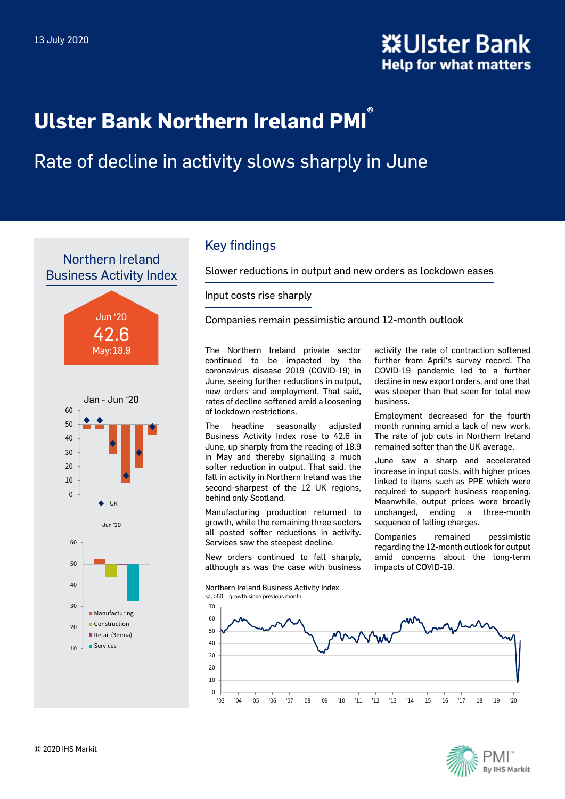# **Ulster Bank Northern Ireland PMI ®**

# Rate of decline in activity slows sharply in June

Northern Ireland Business Activity Index







### Key findings

Slower reductions in output and new orders as lockdown eases

Input costs rise sharply

Companies remain pessimistic around 12-month outlook

The Northern Ireland private sector continued to be impacted by the coronavirus disease 2019 (COVID-19) in June, seeing further reductions in output, new orders and employment. That said, rates of decline softened amid a loosening of lockdown restrictions.

The headline seasonally adjusted Business Activity Index rose to 42.6 in June, up sharply from the reading of 18.9 in May and thereby signalling a much softer reduction in output. That said, the fall in activity in Northern Ireland was the second-sharpest of the 12 UK regions, behind only Scotland.

Manufacturing production returned to growth, while the remaining three sectors all posted softer reductions in activity. Services saw the steepest decline.

New orders continued to fall sharply, although as was the case with business

Northern Ireland Business Activity Index sa, >50 = growth since previous month

activity the rate of contraction softened further from April's survey record. The COVID-19 pandemic led to a further decline in new export orders, and one that was steeper than that seen for total new business.

Employment decreased for the fourth month running amid a lack of new work. The rate of job cuts in Northern Ireland remained softer than the UK average.

June saw a sharp and accelerated increase in input costs, with higher prices linked to items such as PPE which were required to support business reopening. Meanwhile, output prices were broadly unchanged, ending a three-month sequence of falling charges.

Companies remained pessimistic regarding the 12-month outlook for output amid concerns about the long-term impacts of COVID-19.



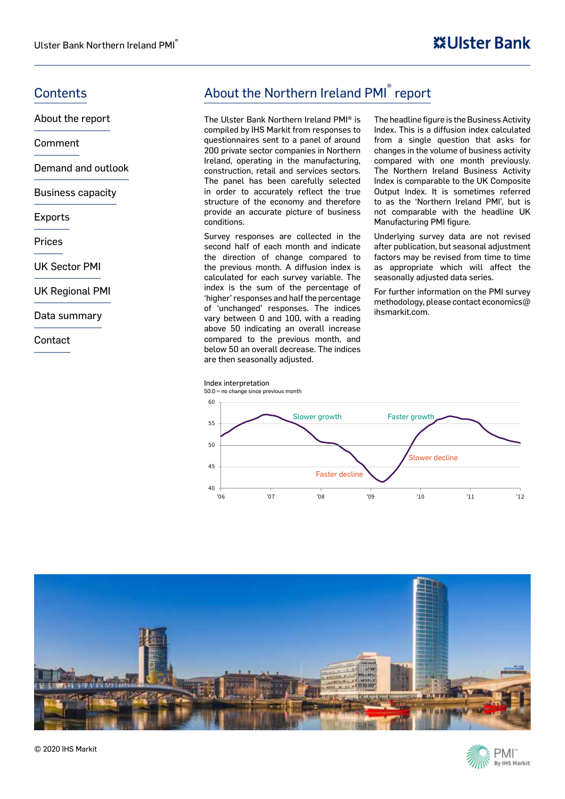About the report

Comment

Demand and outlook

Business capacity

Exports

Prices

UK Sector PMI

UK Regional PMI

Data summary

**Contact** 

### Contents **Contents About the Northern Ireland PMI**<sup>®</sup> report

The Ulster Bank Northern Ireland PMI® is compiled by IHS Markit from responses to questionnaires sent to a panel of around 200 private sector companies in Northern Ireland, operating in the manufacturing, construction, retail and services sectors. The panel has been carefully selected in order to accurately reflect the true structure of the economy and therefore provide an accurate picture of business conditions.

Survey responses are collected in the second half of each month and indicate the direction of change compared to the previous month. A diffusion index is calculated for each survey variable. The index is the sum of the percentage of 'higher' responses and half the percentage of 'unchanged' responses. The indices vary between 0 and 100, with a reading above 50 indicating an overall increase compared to the previous month, and below 50 an overall decrease. The indices are then seasonally adjusted.

The headline figure is the Business Activity Index. This is a diffusion index calculated from a single question that asks for changes in the volume of business activity compared with one month previously. The Northern Ireland Business Activity Index is comparable to the UK Composite Output Index. It is sometimes referred to as the 'Northern Ireland PMI', but is not comparable with the headline UK Manufacturing PMI figure.

Underlying survey data are not revised after publication, but seasonal adjustment factors may be revised from time to time as appropriate which will affect the seasonally adjusted data series.

For further information on the PMI survey methodology, please contact economics $@$ ihsmarkit.com.





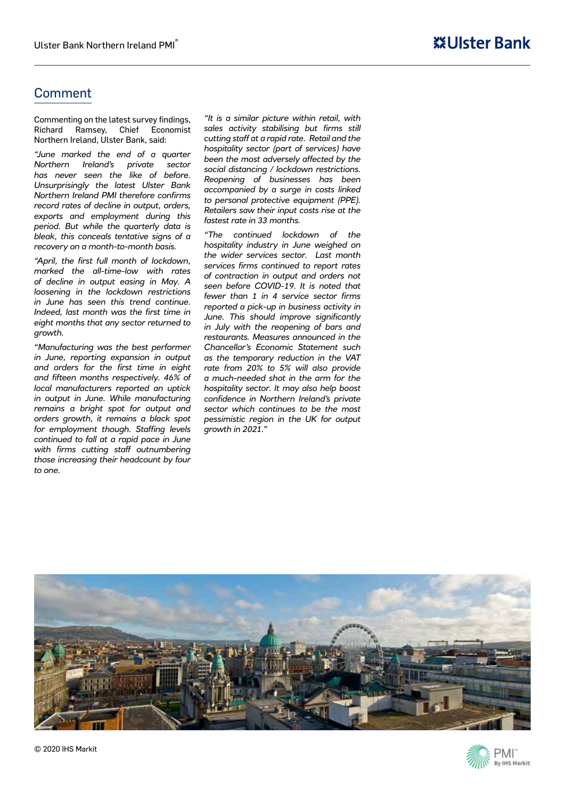### Comment

Commenting on the latest survey findings, Richard Ramsey, Chief Economist Northern Ireland, Ulster Bank, said:

*"June marked the end of a quarter Northern Ireland's private sector has never seen the like of before. Unsurprisingly the latest Ulster Bank Northern Ireland PMI therefore confirms record rates of decline in output, orders, exports and employment during this period. But while the quarterly data is bleak, this conceals tentative signs of a recovery on a month-to-month basis.*

*"April, the first full month of lockdown, marked the all-time-low with rates of decline in output easing in May. A loosening in the lockdown restrictions in June has seen this trend continue. Indeed, last month was the first time in eight months that any sector returned to growth.*

*"Manufacturing was the best performer in June, reporting expansion in output and orders for the first time in eight and fifteen months respectively. 46% of local manufacturers reported an uptick in output in June. While manufacturing remains a bright spot for output and orders growth, it remains a black spot for employment though. Staffing levels continued to fall at a rapid pace in June with firms cutting staff outnumbering those increasing their headcount by four to one.*

*"It is a similar picture within retail, with sales activity stabilising but firms still cutting staff at a rapid rate. Retail and the hospitality sector (part of services) have been the most adversely affected by the social distancing / lockdown restrictions. Reopening of businesses has been accompanied by a surge in costs linked to personal protective equipment (PPE). Retailers saw their input costs rise at the fastest rate in 33 months.*

*"The continued lockdown of the hospitality industry in June weighed on the wider services sector. Last month services firms continued to report rates of contraction in output and orders not seen before COVID-19. It is noted that fewer than 1 in 4 service sector firms reported a pick-up in business activity in June. This should improve significantly in July with the reopening of bars and restaurants. Measures announced in the Chancellor's Economic Statement such as the temporary reduction in the VAT rate from 20% to 5% will also provide a much-needed shot in the arm for the hospitality sector. It may also help boost confidence in Northern Ireland's private sector which continues to be the most pessimistic region in the UK for output growth in 2021."*



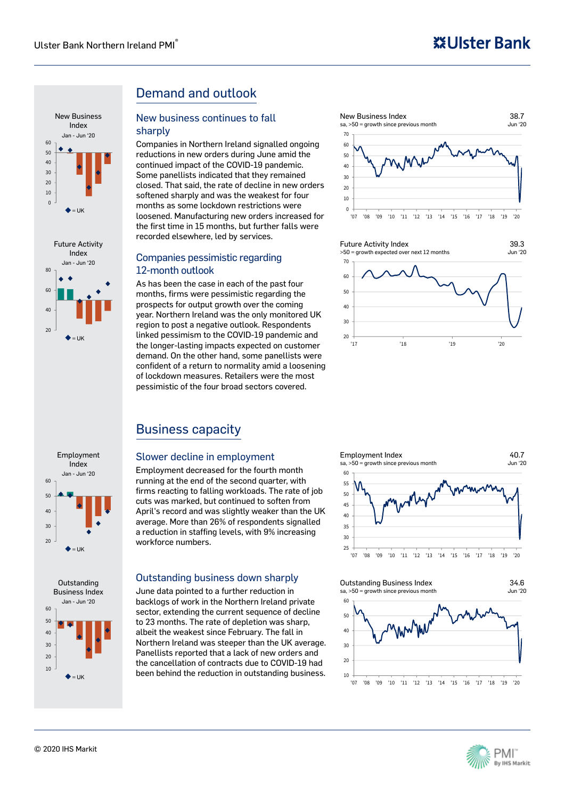







### Demand and outlook

#### New business continues to fall sharply

Companies in Northern Ireland signalled ongoing reductions in new orders during June amid the continued impact of the COVID-19 pandemic. Some panellists indicated that they remained closed. That said, the rate of decline in new orders softened sharply and was the weakest for four months as some lockdown restrictions were loosened. Manufacturing new orders increased for the first time in 15 months, but further falls were recorded elsewhere, led by services.

#### Companies pessimistic regarding 12-month outlook

As has been the case in each of the past four months, firms were pessimistic regarding the prospects for output growth over the coming year. Northern Ireland was the only monitored UK region to post a negative outlook. Respondents linked pessimism to the COVID-19 pandemic and the longer-lasting impacts expected on customer demand. On the other hand, some panellists were confident of a return to normality amid a loosening of lockdown measures. Retailers were the most pessimistic of the four broad sectors covered.





### Business capacity

#### Slower decline in employment

Employment decreased for the fourth month running at the end of the second quarter, with firms reacting to falling workloads. The rate of job cuts was marked, but continued to soften from April's record and was slightly weaker than the UK average. More than 26% of respondents signalled a reduction in staffing levels, with 9% increasing workforce numbers.

#### Outstanding business down sharply

June data pointed to a further reduction in backlogs of work in the Northern Ireland private sector, extending the current sequence of decline to 23 months. The rate of depletion was sharp, albeit the weakest since February. The fall in Northern Ireland was steeper than the UK average. Panellists reported that a lack of new orders and the cancellation of contracts due to COVID-19 had been behind the reduction in outstanding business.



#### Outstanding Business Index sa, >50 = growth since previous month





34.6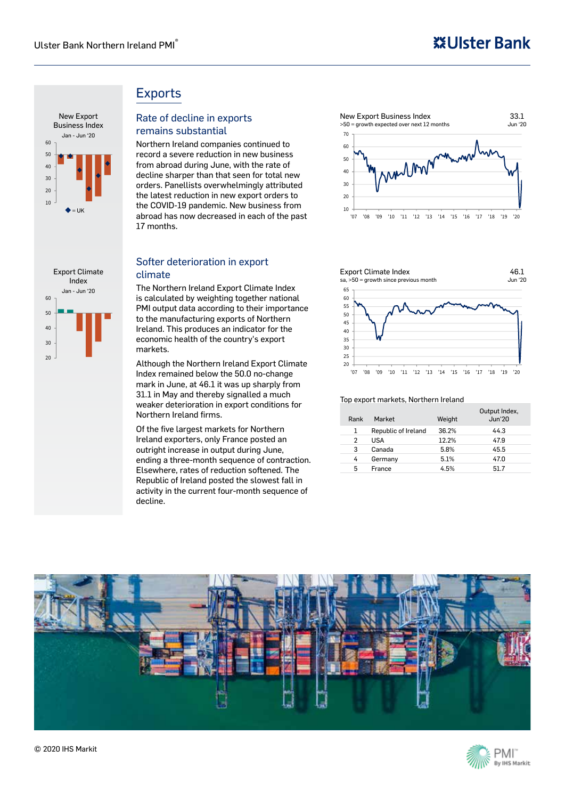## **※Ulster Bank**



#### 20 30 40 50 60 Export Climate Index Jan - Jun '20

Exports

### Rate of decline in exports remains substantial

Northern Ireland companies continued to record a severe reduction in new business from abroad during June, with the rate of decline sharper than that seen for total new orders. Panellists overwhelmingly attributed the latest reduction in new export orders to the COVID-19 pandemic. New business from abroad has now decreased in each of the past 17 months.

#### Softer deterioration in export climate

The Northern Ireland Export Climate Index is calculated by weighting together national PMI output data according to their importance to the manufacturing exports of Northern Ireland. This produces an indicator for the economic health of the country's export markets.

Although the Northern Ireland Export Climate Index remained below the 50.0 no-change mark in June, at 46.1 it was up sharply from 31.1 in May and thereby signalled a much weaker deterioration in export conditions for Northern Ireland firms.

Of the five largest markets for Northern Ireland exporters, only France posted an outright increase in output during June, ending a three-month sequence of contraction. Elsewhere, rates of reduction softened. The Republic of Ireland posted the slowest fall in activity in the current four-month sequence of decline.



#### 20  $25$ 30 35 40 45 50 55 60 65 '07 '08 '09 '10 '11 '12 '13 '14 '15 '16 '17 '18 '19 '20 Export Climate Index sa, >50 = growth since previous month Jun '20 46.1

#### Top export markets, Northern Ireland

| Rank | Market              | Weight | Output Index,<br><b>Jun'20</b> |
|------|---------------------|--------|--------------------------------|
| 1    | Republic of Ireland | 36.2%  | 44.3                           |
| 2    | <b>USA</b>          | 12.2%  | 47.9                           |
| 3    | Canada              | 5.8%   | 45.5                           |
| 4    | Germany             | 5.1%   | 47.0                           |
| 5    | France              | 4.5%   | 517                            |



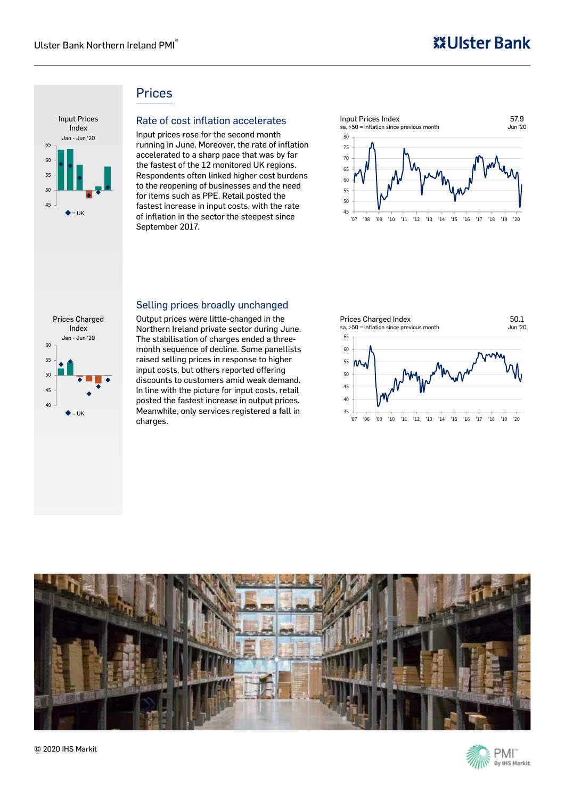### **Prices**



#### Rate of cost inflation accelerates

Input prices rose for the second month running in June. Moreover, the rate of inflation accelerated to a sharp pace that was by far the fastest of the 12 monitored UK regions. Respondents often linked higher cost burdens to the reopening of businesses and the need for items such as PPE. Retail posted the fastest increase in input costs, with the rate of inflation in the sector the steepest since September 2017.



#### Selling prices broadly unchanged



Output prices were little-changed in the Northern Ireland private sector during June. The stabilisation of charges ended a threemonth sequence of decline. Some panellists raised selling prices in response to higher input costs, but others reported offering discounts to customers amid weak demand. In line with the picture for input costs, retail posted the fastest increase in output prices. Meanwhile, only services registered a fall in charges.



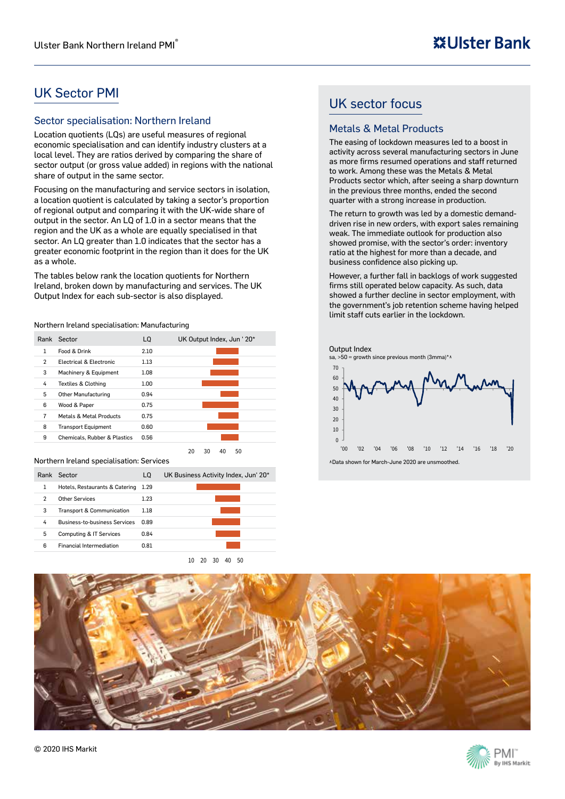### UK Sector PMI

#### Sector specialisation: Northern Ireland

Location quotients (LQs) are useful measures of regional economic specialisation and can identify industry clusters at a local level. They are ratios derived by comparing the share of sector output (or gross value added) in regions with the national share of output in the same sector.

Focusing on the manufacturing and service sectors in isolation, a location quotient is calculated by taking a sector's proportion of regional output and comparing it with the UK-wide share of output in the sector. An LQ of 1.0 in a sector means that the region and the UK as a whole are equally specialised in that sector. An LQ greater than 1.0 indicates that the sector has a greater economic footprint in the region than it does for the UK as a whole.

The tables below rank the location quotients for Northern Ireland, broken down by manufacturing and services. The UK Output Index for each sub-sector is also displayed.

Northern Ireland specialisation: Manufacturing

|   | Rank Sector                             | LO.  | UK Output Index, Jun ' 20* |
|---|-----------------------------------------|------|----------------------------|
| 1 | Food & Drink                            | 2.10 |                            |
| 2 | Electrical & Electronic                 | 1.13 |                            |
| 3 | Machinery & Equipment                   | 1.08 |                            |
| 4 | <b>Textiles &amp; Clothing</b>          | 1.00 |                            |
| 5 | <b>Other Manufacturing</b>              | 0.94 |                            |
| 6 | Wood & Paper                            | 0.75 |                            |
| 7 | Metals & Metal Products                 | 0.75 |                            |
| 8 | <b>Transport Equipment</b>              | 0.60 |                            |
| 9 | <b>Chemicals, Rubber &amp; Plastics</b> | 0.56 |                            |

#### Northern Ireland specialisation: Services

| Rank | Sector                               | LO   | UK Business Activity Index, Jun' 20* |
|------|--------------------------------------|------|--------------------------------------|
|      | Hotels, Restaurants & Catering       | 1.29 |                                      |
| 2    | Other Services                       | 1.23 |                                      |
| 3    | Transport & Communication            | 1.18 |                                      |
| 4    | <b>Business-to-business Services</b> | 0.89 |                                      |
| 5    | Computing & IT Services              | 0.84 |                                      |
| Բ    | <b>Financial Intermediation</b>      | 0.81 |                                      |

10 20 30 40 50

20 30 40 50

### UK sector focus

#### Metals & Metal Products

The easing of lockdown measures led to a boost in activity across several manufacturing sectors in June as more firms resumed operations and staff returned to work. Among these was the Metals & Metal Products sector which, after seeing a sharp downturn in the previous three months, ended the second quarter with a strong increase in production.

The return to growth was led by a domestic demanddriven rise in new orders, with export sales remaining weak. The immediate outlook for production also showed promise, with the sector's order: inventory ratio at the highest for more than a decade, and business confidence also picking up.

However, a further fall in backlogs of work suggested firms still operated below capacity. As such, data showed a further decline in sector employment, with the government's job retention scheme having helped limit staff cuts earlier in the lockdown.





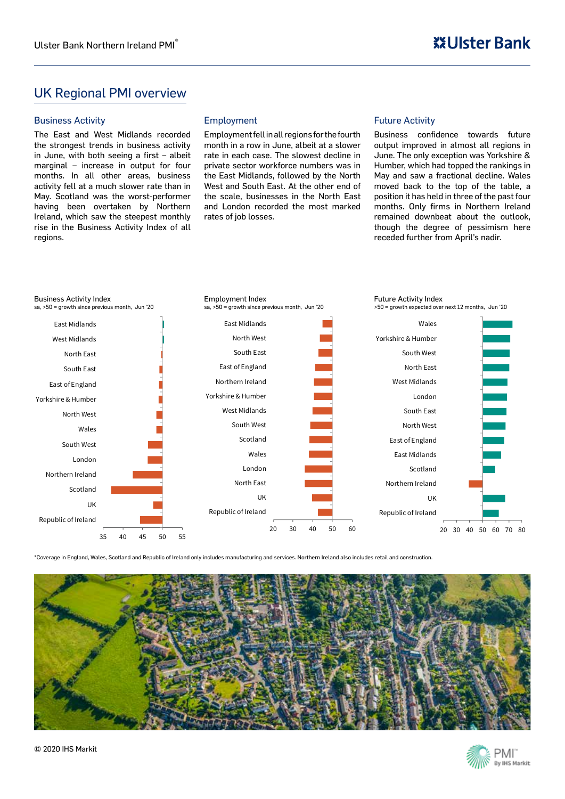### UK Regional PMI overview

#### Business Activity

The East and West Midlands recorded the strongest trends in business activity in June, with both seeing a first – albeit marginal – increase in output for four months. In all other areas, business activity fell at a much slower rate than in May. Scotland was the worst-performer having been overtaken by Northern Ireland, which saw the steepest monthly rise in the Business Activity Index of all regions.

#### Employment

Employment fell in all regions for the fourth month in a row in June, albeit at a slower rate in each case. The slowest decline in private sector workforce numbers was in the East Midlands, followed by the North West and South East. At the other end of the scale, businesses in the North East and London recorded the most marked rates of job losses.

#### Future Activity

Business confidence towards future output improved in almost all regions in June. The only exception was Yorkshire & Humber, which had topped the rankings in May and saw a fractional decline. Wales moved back to the top of the table, a position it has held in three of the past four months. Only firms in Northern Ireland remained downbeat about the outlook, though the degree of pessimism here receded further from April's nadir.



\*Coverage in England, Wales, Scotland and Republic of Ireland only includes manufacturing and services. Northern Ireland also includes retail and construction.